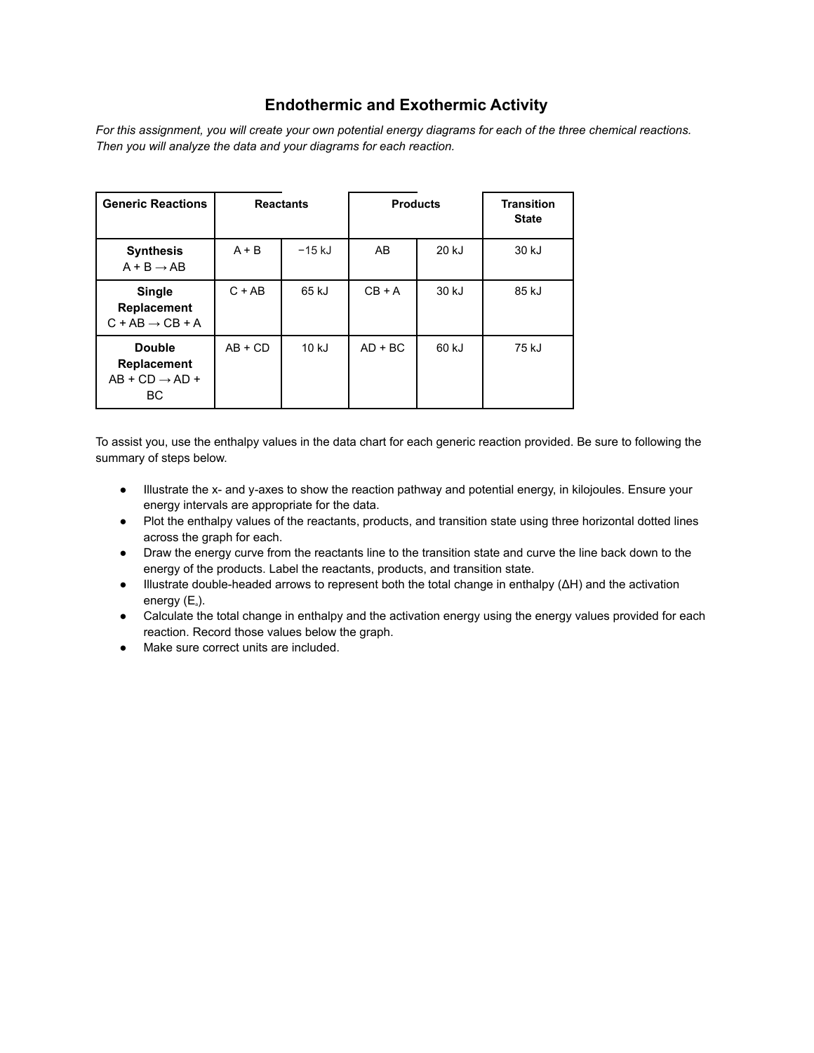## **Endothermic and Exothermic Activity**

*For this assignment, you will create your own potential energy diagrams for each of the three chemical reactions. Then you will analyze the data and your diagrams for each reaction.*

| <b>Generic Reactions</b>                                                 | <b>Reactants</b> |          | <b>Products</b> |       | <b>Transition</b><br><b>State</b> |
|--------------------------------------------------------------------------|------------------|----------|-----------------|-------|-----------------------------------|
| <b>Synthesis</b><br>$A + B \rightarrow AB$                               | $A + B$          | $-15$ kJ | AB              | 20 kJ | 30 kJ                             |
| Single<br><b>Replacement</b><br>$C + AB \rightarrow CB + A$              | $C + AB$         | 65 kJ    | $CB + A$        | 30 kJ | 85 kJ                             |
| <b>Double</b><br><b>Replacement</b><br>$AB + CD \rightarrow AD +$<br>BC. | $AB + CD$        | 10 kJ    | $AD + BC$       | 60 kJ | 75 kJ                             |

To assist you, use the enthalpy values in the data chart for each generic reaction provided. Be sure to following the summary of steps below.

- Illustrate the x- and y-axes to show the reaction pathway and potential energy, in kilojoules. Ensure your energy intervals are appropriate for the data.
- Plot the enthalpy values of the reactants, products, and transition state using three horizontal dotted lines across the graph for each.
- Draw the energy curve from the reactants line to the transition state and curve the line back down to the energy of the products. Label the reactants, products, and transition state.
- $\bullet$  Illustrate double-headed arrows to represent both the total change in enthalpy ( $\Delta H$ ) and the activation energy (E<sub>a</sub>).
- Calculate the total change in enthalpy and the activation energy using the energy values provided for each reaction. Record those values below the graph.
- Make sure correct units are included.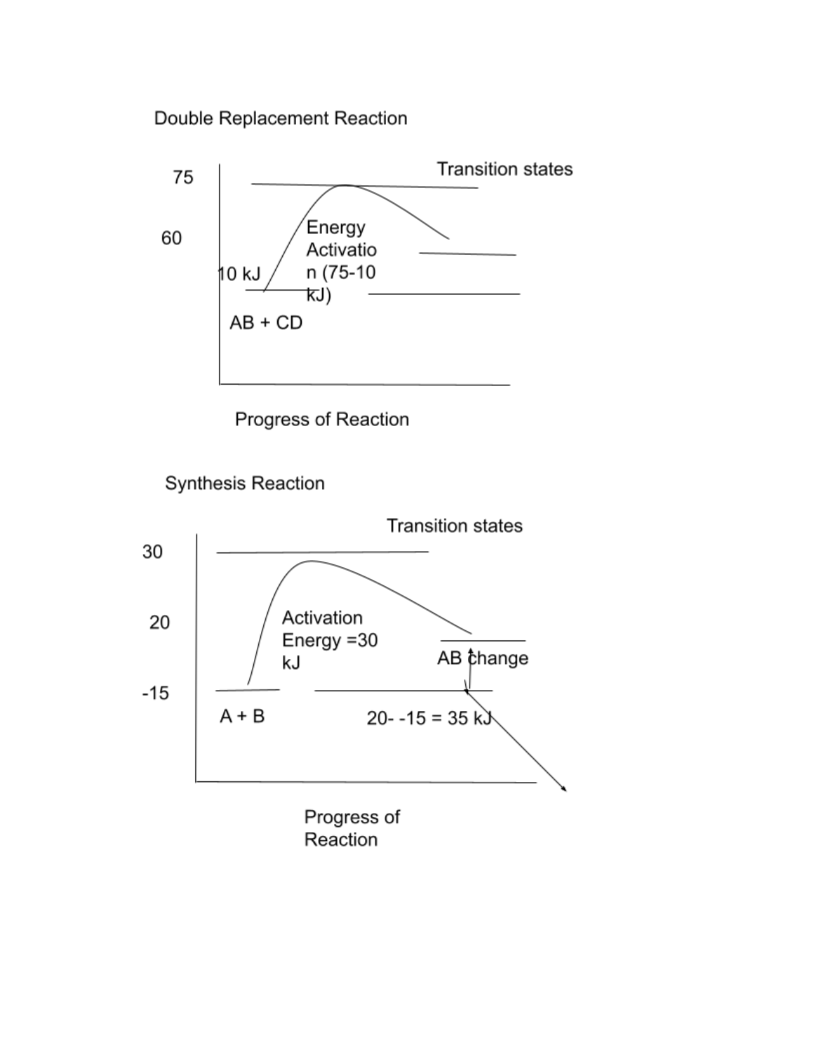Double Replacement Reaction



Progress of Reaction

**Synthesis Reaction**